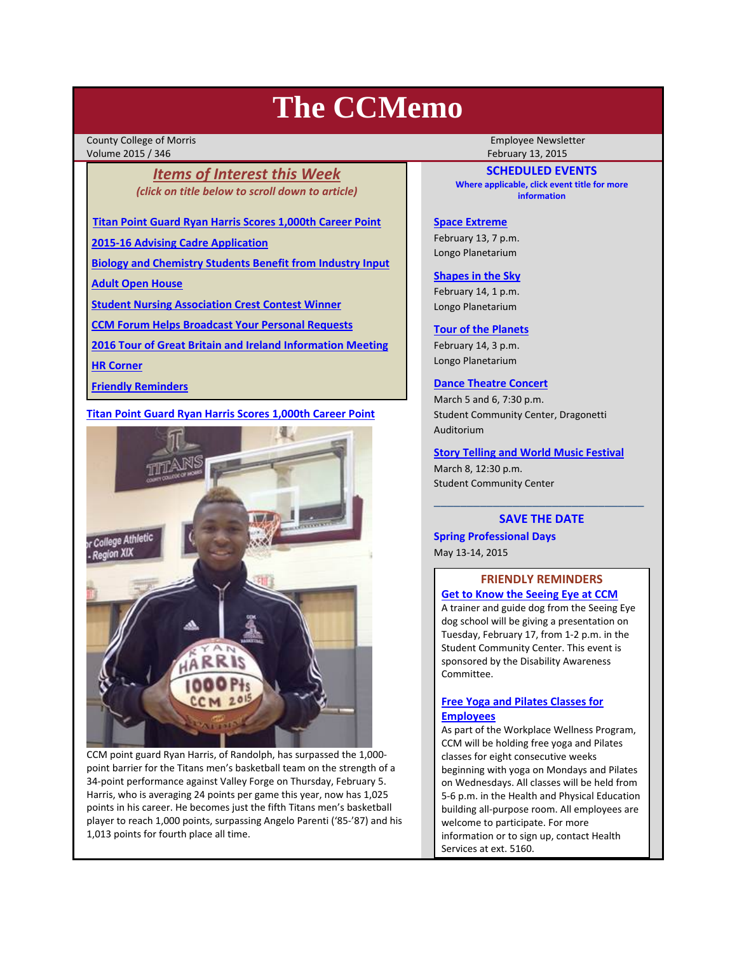# **The CCMemo**

County College of Morris **The County College of Morris County College Act Act 2019** Volume 2015 / 346 February 13, 2015

# *Items of Interest this Week (click on title below to scroll down to article)*

**Titan Point Guard Ryan Harris Scores 1,000th Career Point**

**2015‐16 Advising Cadre Application**

**Biology and Chemistry Students Benefit from Industry Input**

**Adult Open House**

**Student Nursing Association Crest Contest Winner**

**CCM Forum Helps Broadcast Your Personal Requests**

**2016 Tour of Great Britain and Ireland Information Meeting**

**HR Corner**

**Friendly Reminders**

# **Titan Point Guard Ryan Harris Scores 1,000th Career Point**



CCM point guard Ryan Harris, of Randolph, has surpassed the 1,000‐ point barrier for the Titans men's basketball team on the strength of a 34‐point performance against Valley Forge on Thursday, February 5. Harris, who is averaging 24 points per game this year, now has 1,025 points in his career. He becomes just the fifth Titans men's basketball player to reach 1,000 points, surpassing Angelo Parenti ('85‐'87) and his 1,013 points for fourth place all time.

**SCHEDULED EVENTS Where applicable, click event title for more information**

#### **Space Extreme**

February 13, 7 p.m. Longo Planetarium

#### **Shapes in the Sky**

February 14, 1 p.m. Longo Planetarium

#### **Tour of the Planets**

February 14, 3 p.m. Longo Planetarium

#### **Dance Theatre Concert**

March 5 and 6, 7:30 p.m. Student Community Center, Dragonetti Auditorium

#### **Story Telling and World Music Festival**

March 8, 12:30 p.m. Student Community Center

# \_\_\_\_\_\_\_\_\_\_\_\_\_\_\_\_\_\_\_\_\_\_\_\_\_\_\_\_\_\_\_\_ **SAVE THE DATE**

**Spring Professional Days** May 13‐14, 2015

# **FRIENDLY REMINDERS Get to Know the Seeing Eye at CCM**

A trainer and guide dog from the Seeing Eye dog school will be giving a presentation on Tuesday, February 17, from 1‐2 p.m. in the Student Community Center. This event is sponsored by the Disability Awareness Committee.

# **Free Yoga and Pilates Classes for Employees**

As part of the Workplace Wellness Program, CCM will be holding free yoga and Pilates classes for eight consecutive weeks beginning with yoga on Mondays and Pilates on Wednesdays. All classes will be held from 5‐6 p.m. in the Health and Physical Education building all‐purpose room. All employees are welcome to participate. For more information or to sign up, contact Health Services at ext. 5160.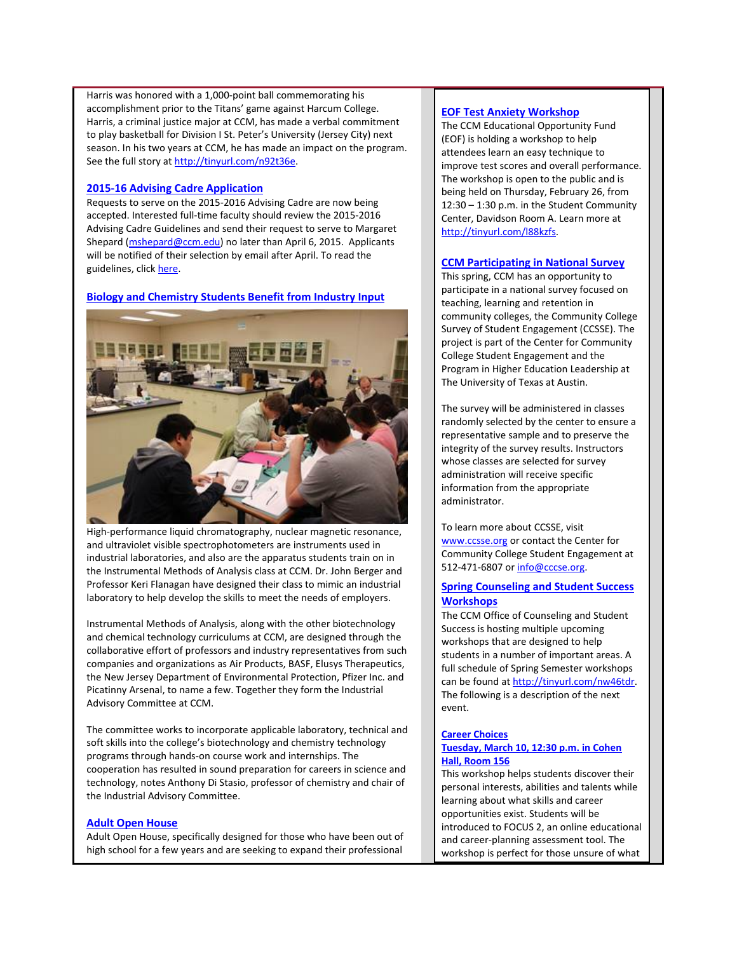Harris was honored with a 1,000‐point ball commemorating his accomplishment prior to the Titans' game against Harcum College. Harris, a criminal justice major at CCM, has made a verbal commitment to play basketball for Division I St. Peter's University (Jersey City) next season. In his two years at CCM, he has made an impact on the program. See the full story at http://tinyurl.com/n92t36e.

#### **2015‐16 Advising Cadre Application**

Requests to serve on the 2015‐2016 Advising Cadre are now being accepted. Interested full-time faculty should review the 2015-2016 Advising Cadre Guidelines and send their request to serve to Margaret Shepard (mshepard@ccm.edu) no later than April 6, 2015. Applicants will be notified of their selection by email after April. To read the guidelines, click here.

**Biology and Chemistry Students Benefit from Industry Input**



High-performance liquid chromatography, nuclear magnetic resonance, and ultraviolet visible spectrophotometers are instruments used in industrial laboratories, and also are the apparatus students train on in the Instrumental Methods of Analysis class at CCM. Dr. John Berger and Professor Keri Flanagan have designed their class to mimic an industrial laboratory to help develop the skills to meet the needs of employers.

Instrumental Methods of Analysis, along with the other biotechnology and chemical technology curriculums at CCM, are designed through the collaborative effort of professors and industry representatives from such companies and organizations as Air Products, BASF, Elusys Therapeutics, the New Jersey Department of Environmental Protection, Pfizer Inc. and Picatinny Arsenal, to name a few. Together they form the Industrial Advisory Committee at CCM.

The committee works to incorporate applicable laboratory, technical and soft skills into the college's biotechnology and chemistry technology programs through hands‐on course work and internships. The cooperation has resulted in sound preparation for careers in science and technology, notes Anthony Di Stasio, professor of chemistry and chair of the Industrial Advisory Committee.

# **Adult Open House**

Adult Open House, specifically designed for those who have been out of high school for a few years and are seeking to expand their professional

# **EOF Test Anxiety Workshop**

The CCM Educational Opportunity Fund (EOF) is holding a workshop to help attendees learn an easy technique to improve test scores and overall performance. The workshop is open to the public and is being held on Thursday, February 26, from 12:30 – 1:30 p.m. in the Student Community Center, Davidson Room A. Learn more at http://tinyurl.com/l88kzfs.

# **CCM Participating in National Survey**

This spring, CCM has an opportunity to participate in a national survey focused on teaching, learning and retention in community colleges, the Community College Survey of Student Engagement (CCSSE). The project is part of the Center for Community College Student Engagement and the Program in Higher Education Leadership at The University of Texas at Austin.

The survey will be administered in classes randomly selected by the center to ensure a representative sample and to preserve the integrity of the survey results. Instructors whose classes are selected for survey administration will receive specific information from the appropriate administrator.

To learn more about CCSSE, visit www.ccsse.org or contact the Center for Community College Student Engagement at 512-471-6807 or info@cccse.org.

# **Spring Counseling and Student Success Workshops**

The CCM Office of Counseling and Student Success is hosting multiple upcoming workshops that are designed to help students in a number of important areas. A full schedule of Spring Semester workshops can be found at http://tinyurl.com/nw46tdr. The following is a description of the next event.

# **Career Choices**

# **Tuesday, March 10, 12:30 p.m. in Cohen Hall, Room 156**

This workshop helps students discover their personal interests, abilities and talents while learning about what skills and career opportunities exist. Students will be introduced to FOCUS 2, an online educational and career‐planning assessment tool. The workshop is perfect for those unsure of what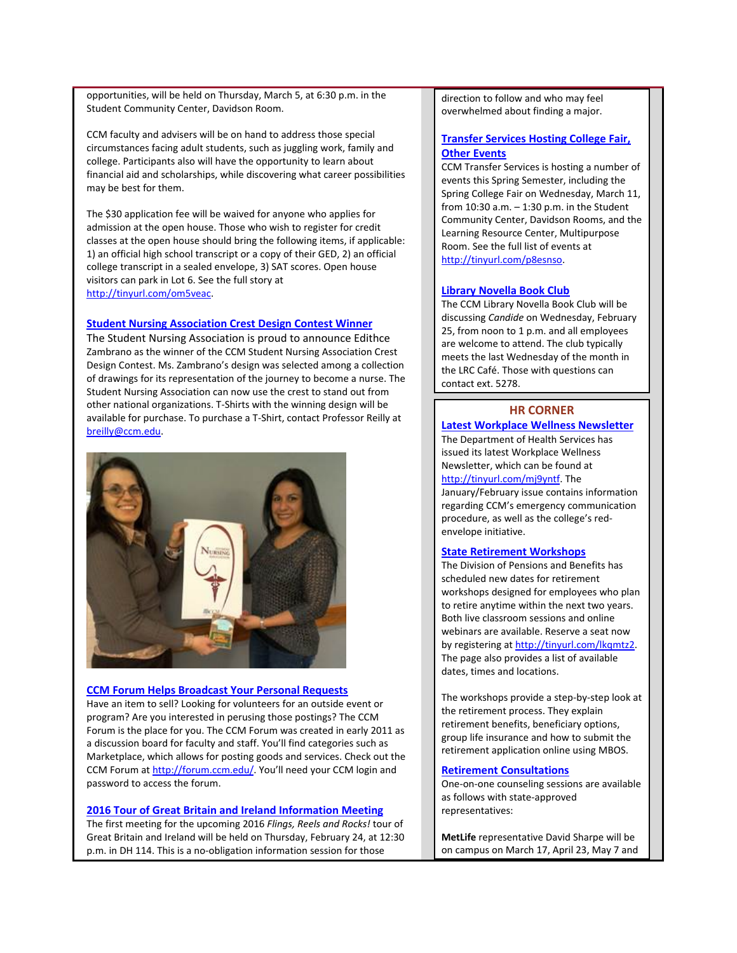opportunities, will be held on Thursday, March 5, at 6:30 p.m. in the Student Community Center, Davidson Room.

CCM faculty and advisers will be on hand to address those special circumstances facing adult students, such as juggling work, family and college. Participants also will have the opportunity to learn about financial aid and scholarships, while discovering what career possibilities may be best for them.

The \$30 application fee will be waived for anyone who applies for admission at the open house. Those who wish to register for credit classes at the open house should bring the following items, if applicable: 1) an official high school transcript or a copy of their GED, 2) an official college transcript in a sealed envelope, 3) SAT scores. Open house visitors can park in Lot 6. See the full story at http://tinyurl.com/om5veac.

#### **Student Nursing Association Crest Design Contest Winner**

The Student Nursing Association is proud to announce Edithce Zambrano as the winner of the CCM Student Nursing Association Crest Design Contest. Ms. Zambrano's design was selected among a collection of drawings for its representation of the journey to become a nurse. The Student Nursing Association can now use the crest to stand out from other national organizations. T‐Shirts with the winning design will be available for purchase. To purchase a T‐Shirt, contact Professor Reilly at breilly@ccm.edu.



#### **CCM Forum Helps Broadcast Your Personal Requests**

Have an item to sell? Looking for volunteers for an outside event or program? Are you interested in perusing those postings? The CCM Forum is the place for you. The CCM Forum was created in early 2011 as a discussion board for faculty and staff. You'll find categories such as Marketplace, which allows for posting goods and services. Check out the CCM Forum at http://forum.ccm.edu/. You'll need your CCM login and password to access the forum.

#### **2016 Tour of Great Britain and Ireland Information Meeting**

The first meeting for the upcoming 2016 *Flings, Reels and Rocks!* tour of Great Britain and Ireland will be held on Thursday, February 24, at 12:30 p.m. in DH 114. This is a no‐obligation information session for those

direction to follow and who may feel overwhelmed about finding a major.

# **Transfer Services Hosting College Fair, Other Events**

CCM Transfer Services is hosting a number of events this Spring Semester, including the Spring College Fair on Wednesday, March 11, from 10:30 a.m. – 1:30 p.m. in the Student Community Center, Davidson Rooms, and the Learning Resource Center, Multipurpose Room. See the full list of events at http://tinyurl.com/p8esnso.

# **Library Novella Book Club**

The CCM Library Novella Book Club will be discussing *Candide* on Wednesday, February 25, from noon to 1 p.m. and all employees are welcome to attend. The club typically meets the last Wednesday of the month in the LRC Café. Those with questions can contact ext. 5278.

# **HR CORNER**

#### **Latest Workplace Wellness Newsletter**

The Department of Health Services has issued its latest Workplace Wellness Newsletter, which can be found at http://tinyurl.com/mj9yntf. The January/February issue contains information regarding CCM's emergency communication procedure, as well as the college's red‐ envelope initiative.

#### **State Retirement Workshops**

The Division of Pensions and Benefits has scheduled new dates for retirement workshops designed for employees who plan to retire anytime within the next two years. Both live classroom sessions and online webinars are available. Reserve a seat now by registering at http://tinyurl.com/lkqmtz2. The page also provides a list of available dates, times and locations.

The workshops provide a step‐by‐step look at the retirement process. They explain retirement benefits, beneficiary options, group life insurance and how to submit the retirement application online using MBOS.

#### **Retirement Consultations**

One‐on‐one counseling sessions are available as follows with state‐approved representatives:

**MetLife** representative David Sharpe will be on campus on March 17, April 23, May 7 and